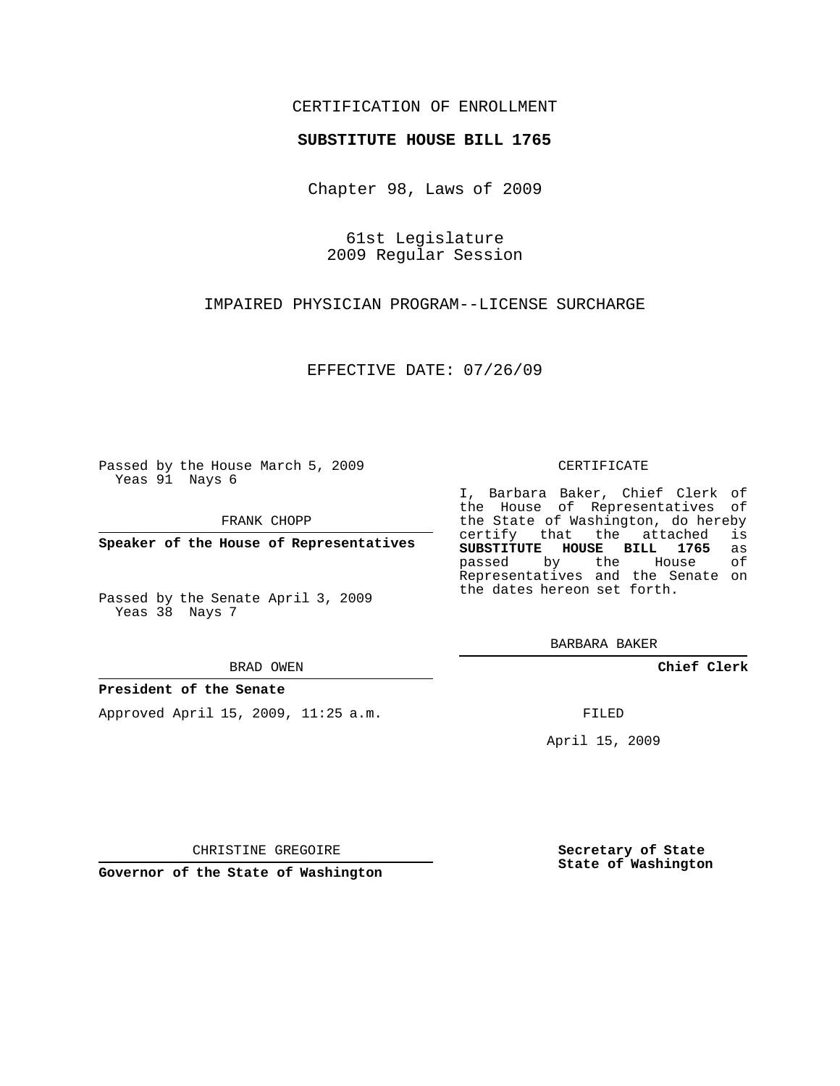## CERTIFICATION OF ENROLLMENT

### **SUBSTITUTE HOUSE BILL 1765**

Chapter 98, Laws of 2009

61st Legislature 2009 Regular Session

IMPAIRED PHYSICIAN PROGRAM--LICENSE SURCHARGE

EFFECTIVE DATE: 07/26/09

Passed by the House March 5, 2009 Yeas 91 Nays 6

FRANK CHOPP

**Speaker of the House of Representatives**

Passed by the Senate April 3, 2009 Yeas 38 Nays 7

BRAD OWEN

### **President of the Senate**

Approved April 15, 2009, 11:25 a.m.

#### CERTIFICATE

I, Barbara Baker, Chief Clerk of the House of Representatives of the State of Washington, do hereby<br>certify that the attached is certify that the attached **SUBSTITUTE HOUSE BILL 1765** as passed by the Representatives and the Senate on the dates hereon set forth.

BARBARA BAKER

**Chief Clerk**

FILED

April 15, 2009

**Secretary of State State of Washington**

CHRISTINE GREGOIRE

**Governor of the State of Washington**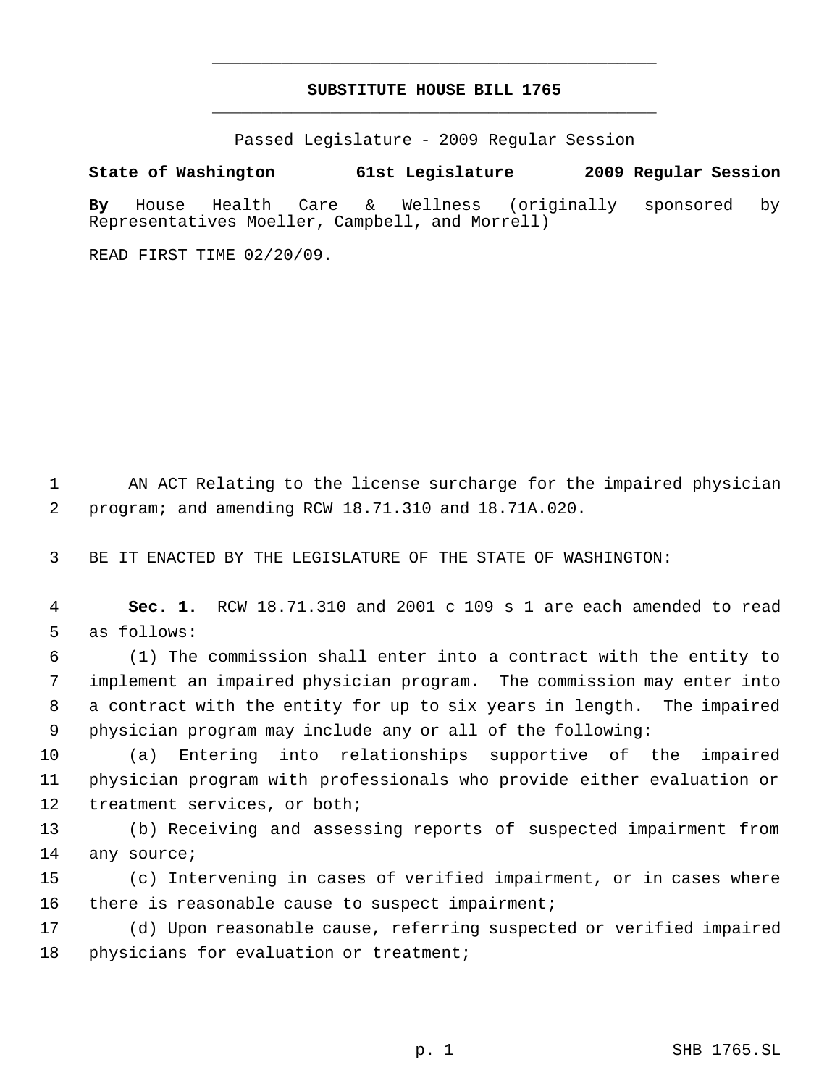# **SUBSTITUTE HOUSE BILL 1765** \_\_\_\_\_\_\_\_\_\_\_\_\_\_\_\_\_\_\_\_\_\_\_\_\_\_\_\_\_\_\_\_\_\_\_\_\_\_\_\_\_\_\_\_\_

\_\_\_\_\_\_\_\_\_\_\_\_\_\_\_\_\_\_\_\_\_\_\_\_\_\_\_\_\_\_\_\_\_\_\_\_\_\_\_\_\_\_\_\_\_

Passed Legislature - 2009 Regular Session

**State of Washington 61st Legislature 2009 Regular Session**

**By** House Health Care & Wellness (originally sponsored by Representatives Moeller, Campbell, and Morrell)

READ FIRST TIME 02/20/09.

1 AN ACT Relating to the license surcharge for the impaired physician program; and amending RCW 18.71.310 and 18.71A.020.

BE IT ENACTED BY THE LEGISLATURE OF THE STATE OF WASHINGTON:

 **Sec. 1.** RCW 18.71.310 and 2001 c 109 s 1 are each amended to read as follows:

 (1) The commission shall enter into a contract with the entity to implement an impaired physician program. The commission may enter into a contract with the entity for up to six years in length. The impaired physician program may include any or all of the following:

 (a) Entering into relationships supportive of the impaired physician program with professionals who provide either evaluation or treatment services, or both;

 (b) Receiving and assessing reports of suspected impairment from any source;

 (c) Intervening in cases of verified impairment, or in cases where there is reasonable cause to suspect impairment;

 (d) Upon reasonable cause, referring suspected or verified impaired physicians for evaluation or treatment;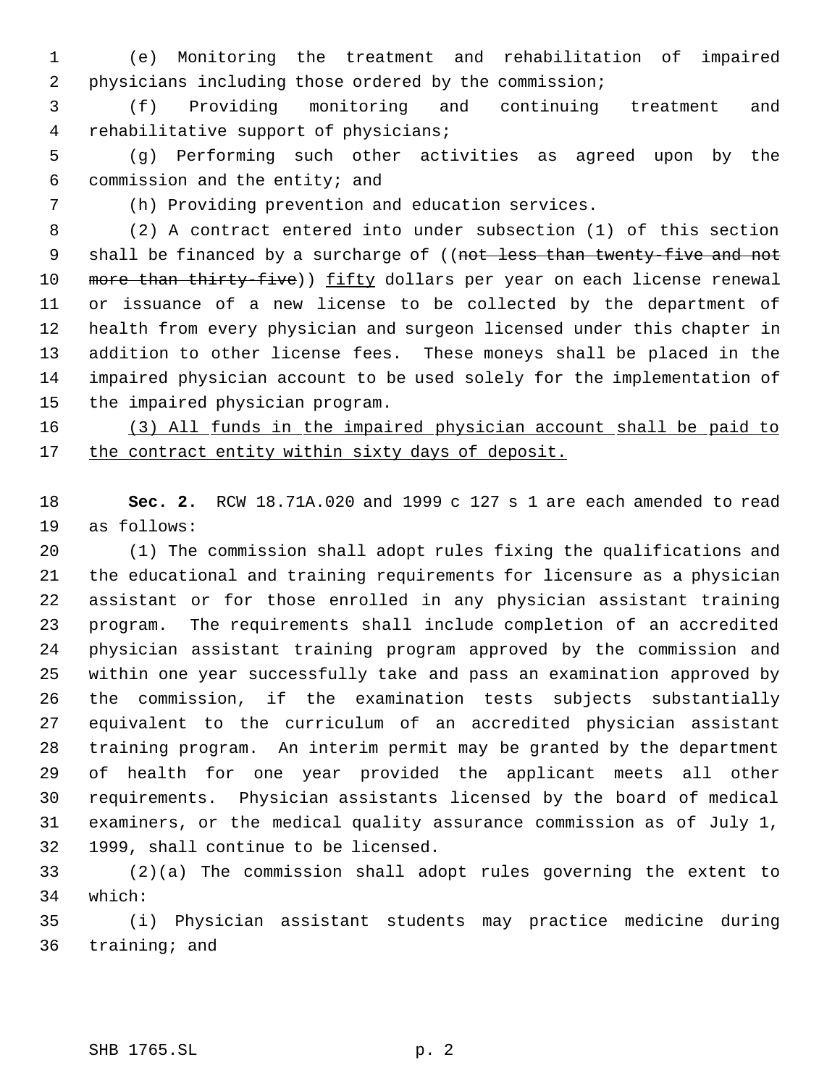(e) Monitoring the treatment and rehabilitation of impaired physicians including those ordered by the commission;

 (f) Providing monitoring and continuing treatment and rehabilitative support of physicians;

 (g) Performing such other activities as agreed upon by the commission and the entity; and

(h) Providing prevention and education services.

 (2) A contract entered into under subsection (1) of this section 9 shall be financed by a surcharge of ((not less than twenty-five and not 10 more than thirty-five)) fifty dollars per year on each license renewal or issuance of a new license to be collected by the department of health from every physician and surgeon licensed under this chapter in addition to other license fees. These moneys shall be placed in the impaired physician account to be used solely for the implementation of the impaired physician program.

 (3) All funds in the impaired physician account shall be paid to 17 the contract entity within sixty days of deposit.

 **Sec. 2.** RCW 18.71A.020 and 1999 c 127 s 1 are each amended to read as follows:

 (1) The commission shall adopt rules fixing the qualifications and the educational and training requirements for licensure as a physician assistant or for those enrolled in any physician assistant training program. The requirements shall include completion of an accredited physician assistant training program approved by the commission and within one year successfully take and pass an examination approved by the commission, if the examination tests subjects substantially equivalent to the curriculum of an accredited physician assistant training program. An interim permit may be granted by the department of health for one year provided the applicant meets all other requirements. Physician assistants licensed by the board of medical examiners, or the medical quality assurance commission as of July 1, 1999, shall continue to be licensed.

 (2)(a) The commission shall adopt rules governing the extent to which:

 (i) Physician assistant students may practice medicine during training; and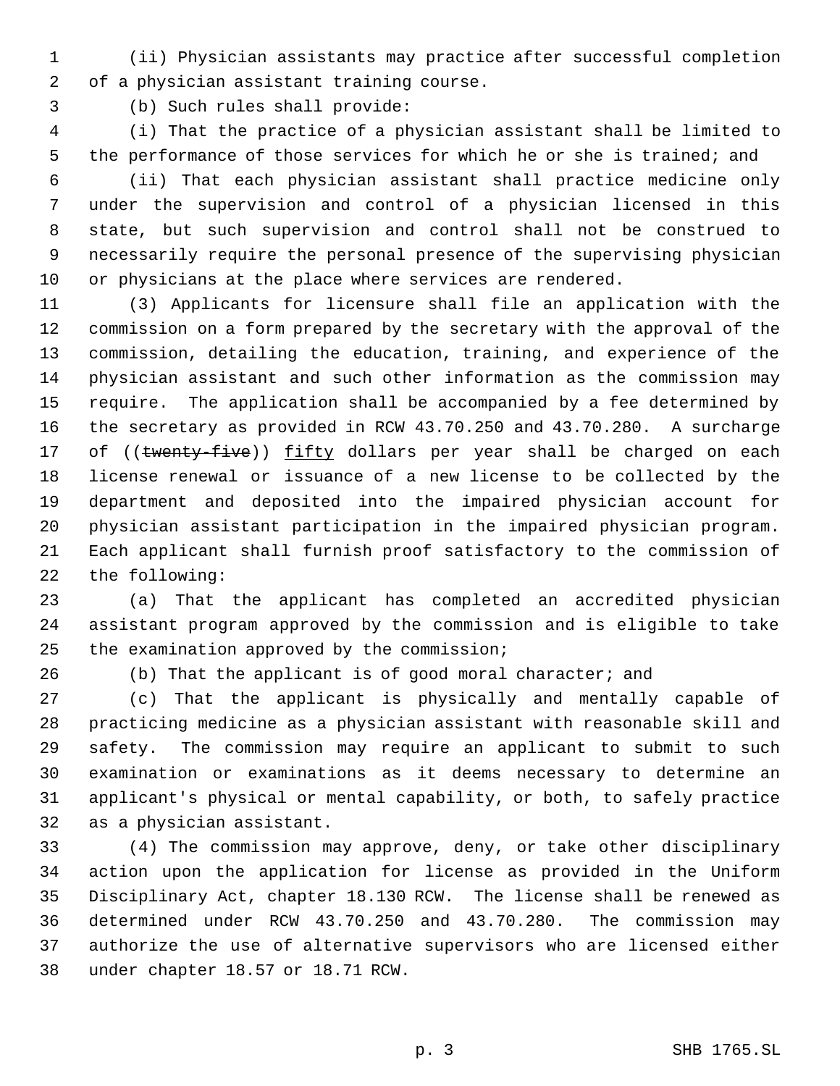(ii) Physician assistants may practice after successful completion of a physician assistant training course.

(b) Such rules shall provide:

 (i) That the practice of a physician assistant shall be limited to the performance of those services for which he or she is trained; and

 (ii) That each physician assistant shall practice medicine only under the supervision and control of a physician licensed in this state, but such supervision and control shall not be construed to necessarily require the personal presence of the supervising physician or physicians at the place where services are rendered.

 (3) Applicants for licensure shall file an application with the commission on a form prepared by the secretary with the approval of the commission, detailing the education, training, and experience of the physician assistant and such other information as the commission may require. The application shall be accompanied by a fee determined by the secretary as provided in RCW 43.70.250 and 43.70.280. A surcharge 17 of ((twenty-five)) fifty dollars per year shall be charged on each license renewal or issuance of a new license to be collected by the department and deposited into the impaired physician account for physician assistant participation in the impaired physician program. Each applicant shall furnish proof satisfactory to the commission of the following:

 (a) That the applicant has completed an accredited physician assistant program approved by the commission and is eligible to take the examination approved by the commission;

(b) That the applicant is of good moral character; and

 (c) That the applicant is physically and mentally capable of practicing medicine as a physician assistant with reasonable skill and safety. The commission may require an applicant to submit to such examination or examinations as it deems necessary to determine an applicant's physical or mental capability, or both, to safely practice as a physician assistant.

 (4) The commission may approve, deny, or take other disciplinary action upon the application for license as provided in the Uniform Disciplinary Act, chapter 18.130 RCW. The license shall be renewed as determined under RCW 43.70.250 and 43.70.280. The commission may authorize the use of alternative supervisors who are licensed either under chapter 18.57 or 18.71 RCW.